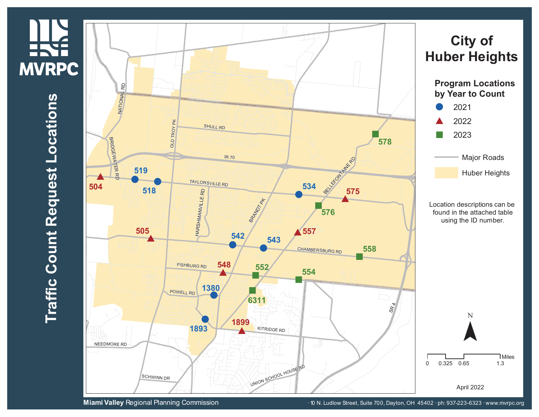## NHA<br>ERYE<br>MVRPC **MVRPC**

 $\blacksquare$ **r a ffic C o u n t R e q u e s t L o**  $\mathbf{\mathbf{\mathbf{\mathbf{\omega}}}$ **a tio n s**